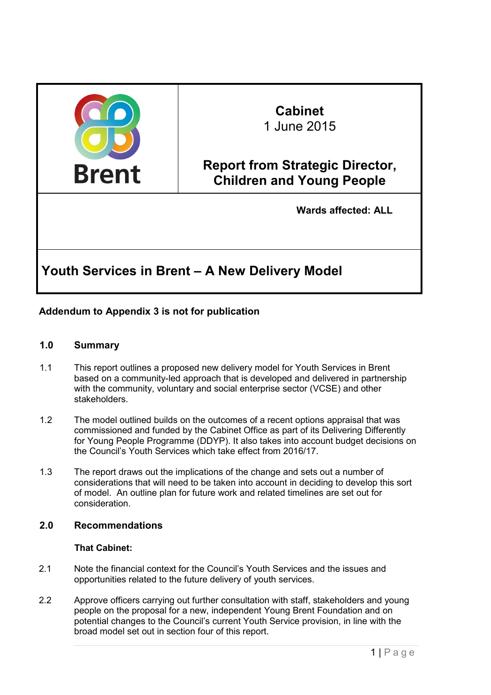

# **Cabinet**  1 June 2015

# **Report from Strategic Director, Children and Young People**

**Wards affected: ALL** 

# **Youth Services in Brent – A New Delivery Model**

# **Addendum to Appendix 3 is not for publication**

### **1.0 Summary**

- 1.1 This report outlines a proposed new delivery model for Youth Services in Brent based on a community-led approach that is developed and delivered in partnership with the community, voluntary and social enterprise sector (VCSE) and other stakeholders.
- 1.2 The model outlined builds on the outcomes of a recent options appraisal that was commissioned and funded by the Cabinet Office as part of its Delivering Differently for Young People Programme (DDYP). It also takes into account budget decisions on the Council's Youth Services which take effect from 2016/17.
- 1.3 The report draws out the implications of the change and sets out a number of considerations that will need to be taken into account in deciding to develop this sort of model. An outline plan for future work and related timelines are set out for consideration.

# **2.0 Recommendations**

#### **That Cabinet:**

- 2.1 Note the financial context for the Council's Youth Services and the issues and opportunities related to the future delivery of youth services.
- 2.2 Approve officers carrying out further consultation with staff, stakeholders and young people on the proposal for a new, independent Young Brent Foundation and on potential changes to the Council's current Youth Service provision, in line with the broad model set out in section four of this report.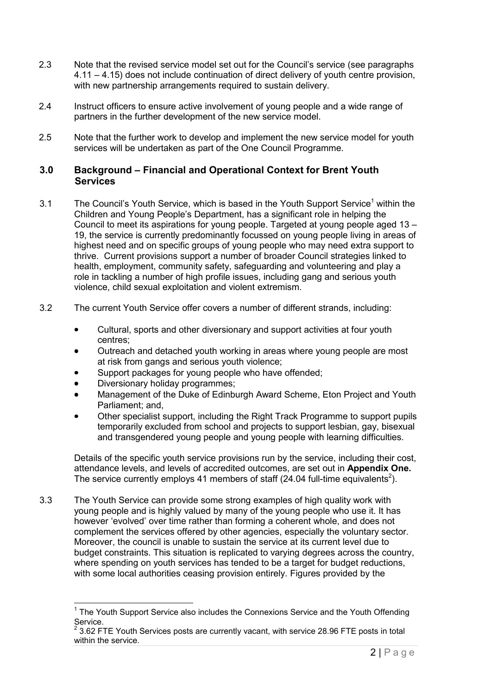- 2.3 Note that the revised service model set out for the Council's service (see paragraphs 4.11 – 4.15) does not include continuation of direct delivery of youth centre provision, with new partnership arrangements required to sustain delivery.
- 2.4 Instruct officers to ensure active involvement of young people and a wide range of partners in the further development of the new service model.
- 2.5 Note that the further work to develop and implement the new service model for youth services will be undertaken as part of the One Council Programme.

#### **3.0 Background – Financial and Operational Context for Brent Youth Services**

- 3.1 The Council's Youth Service, which is based in the Youth Support Service<sup>1</sup> within the Children and Young People's Department, has a significant role in helping the Council to meet its aspirations for young people. Targeted at young people aged 13 – 19, the service is currently predominantly focussed on young people living in areas of highest need and on specific groups of young people who may need extra support to thrive. Current provisions support a number of broader Council strategies linked to health, employment, community safety, safeguarding and volunteering and play a role in tackling a number of high profile issues, including gang and serious youth violence, child sexual exploitation and violent extremism.
- 3.2 The current Youth Service offer covers a number of different strands, including:
	- Cultural, sports and other diversionary and support activities at four youth centres;
	- Outreach and detached youth working in areas where young people are most at risk from gangs and serious youth violence;
	- Support packages for young people who have offended;
	- Diversionary holiday programmes;
	- Management of the Duke of Edinburgh Award Scheme, Eton Project and Youth Parliament; and,
	- Other specialist support, including the Right Track Programme to support pupils temporarily excluded from school and projects to support lesbian, gay, bisexual and transgendered young people and young people with learning difficulties.

Details of the specific youth service provisions run by the service, including their cost, attendance levels, and levels of accredited outcomes, are set out in **Appendix One.**  The service currently employs 41 members of staff (24.04 full-time equivalents<sup>2</sup>).

3.3 The Youth Service can provide some strong examples of high quality work with young people and is highly valued by many of the young people who use it. It has however 'evolved' over time rather than forming a coherent whole, and does not complement the services offered by other agencies, especially the voluntary sector. Moreover, the council is unable to sustain the service at its current level due to budget constraints. This situation is replicated to varying degrees across the country, where spending on youth services has tended to be a target for budget reductions, with some local authorities ceasing provision entirely. Figures provided by the

 1 The Youth Support Service also includes the Connexions Service and the Youth Offending Service.<br>בת פי

 <sup>3.62</sup> FTE Youth Services posts are currently vacant, with service 28.96 FTE posts in total within the service.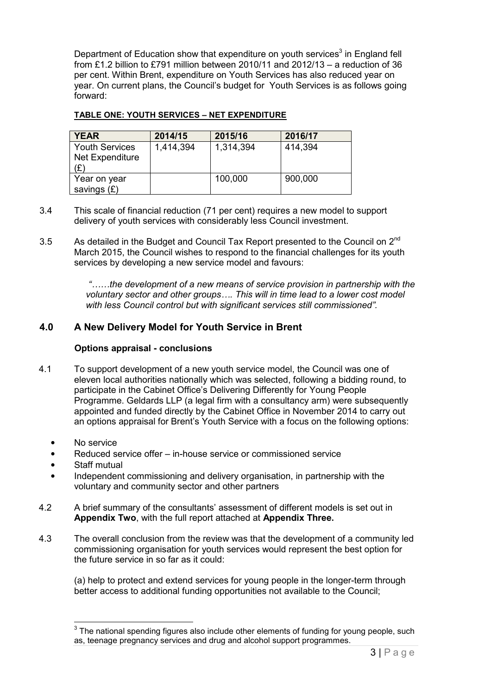Department of Education show that expenditure on youth services<sup>3</sup> in England fell from £1.2 billion to £791 million between 2010/11 and 2012/13 – a reduction of 36 per cent. Within Brent, expenditure on Youth Services has also reduced year on year. On current plans, the Council's budget for Youth Services is as follows going forward:

### **TABLE ONE: YOUTH SERVICES – NET EXPENDITURE**

| <b>YEAR</b>           | 2014/15   | 2015/16   | 2016/17 |
|-----------------------|-----------|-----------|---------|
| <b>Youth Services</b> | 1,414,394 | 1,314,394 | 414,394 |
| Net Expenditure       |           |           |         |
| (£)                   |           |           |         |
| Year on year          |           | 100,000   | 900,000 |
| savings $(E)$         |           |           |         |

- 3.4 This scale of financial reduction (71 per cent) requires a new model to support delivery of youth services with considerably less Council investment.
- 3.5 As detailed in the Budget and Council Tax Report presented to the Council on 2<sup>nd</sup> March 2015, the Council wishes to respond to the financial challenges for its youth services by developing a new service model and favours:

<sup>"*.....the development of a new means of service provision in partnership with the*</sup> *voluntary sector and other groups. This will in time lead to a lower cost model with less Council control but with significant services still commissioned".* 

# **4.0 A New Delivery Model for Youth Service in Brent**

#### **Options appraisal - conclusions**

- 4.1 To support development of a new youth service model, the Council was one of eleven local authorities nationally which was selected, following a bidding round, to participate in the Cabinet Office's Delivering Differently for Young People Programme. Geldards LLP (a legal firm with a consultancy arm) were subsequently appointed and funded directly by the Cabinet Office in November 2014 to carry out an options appraisal for Brent's Youth Service with a focus on the following options:
	- No service
	- Reduced service offer in-house service or commissioned service
	- Staff mutual
	- Independent commissioning and delivery organisation, in partnership with the voluntary and community sector and other partners
- 4.2 A brief summary of the consultants' assessment of different models is set out in **Appendix Two**, with the full report attached at **Appendix Three.**
- 4.3 The overall conclusion from the review was that the development of a community led commissioning organisation for youth services would represent the best option for the future service in so far as it could:

(a) help to protect and extend services for young people in the longer-term through better access to additional funding opportunities not available to the Council;

 3 The national spending figures also include other elements of funding for young people, such as, teenage pregnancy services and drug and alcohol support programmes.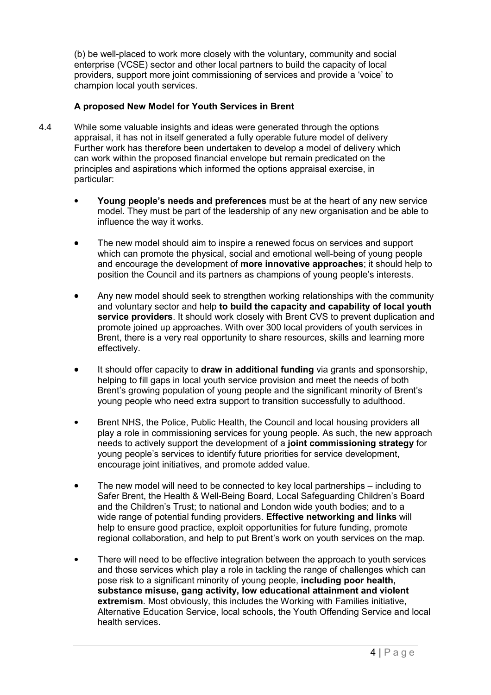(b) be well-placed to work more closely with the voluntary, community and social enterprise (VCSE) sector and other local partners to build the capacity of local providers, support more joint commissioning of services and provide a 'voice' to champion local youth services.

### **A proposed New Model for Youth Services in Brent**

- 4.4 While some valuable insights and ideas were generated through the options appraisal, it has not in itself generated a fully operable future model of delivery Further work has therefore been undertaken to develop a model of delivery which can work within the proposed financial envelope but remain predicated on the principles and aspirations which informed the options appraisal exercise, in particular:
	- **Young people's needs and preferences** must be at the heart of any new service model. They must be part of the leadership of any new organisation and be able to influence the way it works.
	- The new model should aim to inspire a renewed focus on services and support which can promote the physical, social and emotional well-being of young people and encourage the development of **more innovative approaches**; it should help to position the Council and its partners as champions of young people's interests.
	- Any new model should seek to strengthen working relationships with the community and voluntary sector and help **to build the capacity and capability of local youth service providers**. It should work closely with Brent CVS to prevent duplication and promote joined up approaches. With over 300 local providers of youth services in Brent, there is a very real opportunity to share resources, skills and learning more effectively.
	- It should offer capacity to **draw in additional funding** via grants and sponsorship, helping to fill gaps in local youth service provision and meet the needs of both Brent's growing population of young people and the significant minority of Brent's young people who need extra support to transition successfully to adulthood.
	- Brent NHS, the Police, Public Health, the Council and local housing providers all play a role in commissioning services for young people. As such, the new approach needs to actively support the development of a **joint commissioning strategy** for young people's services to identify future priorities for service development, encourage joint initiatives, and promote added value.
	- The new model will need to be connected to key local partnerships including to Safer Brent, the Health & Well-Being Board, Local Safeguarding Children's Board and the Children's Trust; to national and London wide youth bodies; and to a wide range of potential funding providers. **Effective networking and links** will help to ensure good practice, exploit opportunities for future funding, promote regional collaboration, and help to put Brent's work on youth services on the map.
	- There will need to be effective integration between the approach to youth services and those services which play a role in tackling the range of challenges which can pose risk to a significant minority of young people, **including poor health, substance misuse, gang activity, low educational attainment and violent extremism**. Most obviously, this includes the Working with Families initiative, Alternative Education Service, local schools, the Youth Offending Service and local health services.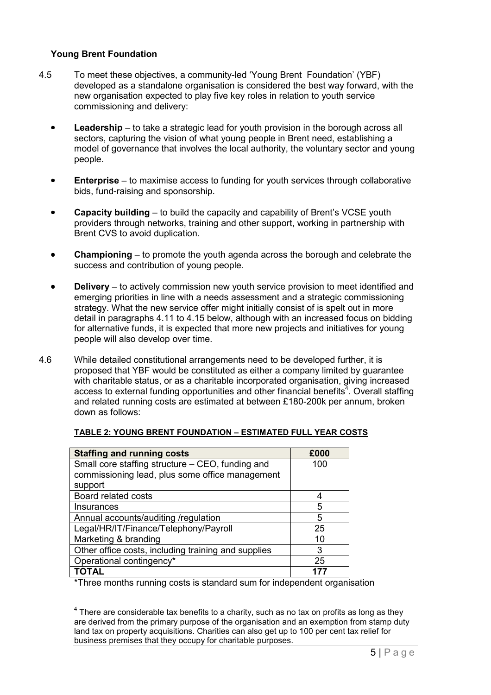#### **Young Brent Foundation**

- 4.5 To meet these objectives, a community-led 'Young Brent Foundation' (YBF) developed as a standalone organisation is considered the best way forward, with the new organisation expected to play five key roles in relation to youth service commissioning and delivery:
	- **Leadership** to take a strategic lead for youth provision in the borough across all sectors, capturing the vision of what young people in Brent need, establishing a model of governance that involves the local authority, the voluntary sector and young people.
	- **Enterprise** to maximise access to funding for youth services through collaborative bids, fund-raising and sponsorship.
	- • **Capacity building**  to build the capacity and capability of Brent's VCSE youth providers through networks, training and other support, working in partnership with Brent CVS to avoid duplication.
	- • **Championing** to promote the youth agenda across the borough and celebrate the success and contribution of young people.
	- **Delivery** to actively commission new youth service provision to meet identified and emerging priorities in line with a needs assessment and a strategic commissioning strategy. What the new service offer might initially consist of is spelt out in more detail in paragraphs 4.11 to 4.15 below, although with an increased focus on bidding for alternative funds, it is expected that more new projects and initiatives for young people will also develop over time.
- 4.6 While detailed constitutional arrangements need to be developed further, it is proposed that YBF would be constituted as either a company limited by guarantee with charitable status, or as a charitable incorporated organisation, giving increased access to external funding opportunities and other financial benefits<sup> $4$ </sup>. Overall staffing and related running costs are estimated at between £180-200k per annum, broken down as follows:

| <b>Staffing and running costs</b>                   | £000 |
|-----------------------------------------------------|------|
| Small core staffing structure - CEO, funding and    | 100  |
| commissioning lead, plus some office management     |      |
| support                                             |      |
| Board related costs                                 | 4    |
| Insurances                                          | 5    |
| Annual accounts/auditing /regulation                | 5    |
| Legal/HR/IT/Finance/Telephony/Payroll               | 25   |
| Marketing & branding                                | 10   |
| Other office costs, including training and supplies | 3    |
| Operational contingency*                            | 25   |
| ΤΟΤΑL                                               |      |

#### **TABLE 2: YOUNG BRENT FOUNDATION – ESTIMATED FULL YEAR COSTS**

\*Three months running costs is standard sum for independent organisation

<sup>————————————————————&</sup>lt;br><sup>4</sup> There are considerable tax benefits to a charity, such as no tax on profits as long as they are derived from the primary purpose of the organisation and an exemption from stamp duty land tax on property acquisitions. Charities can also get up to 100 per cent tax relief for business premises that they occupy for charitable purposes.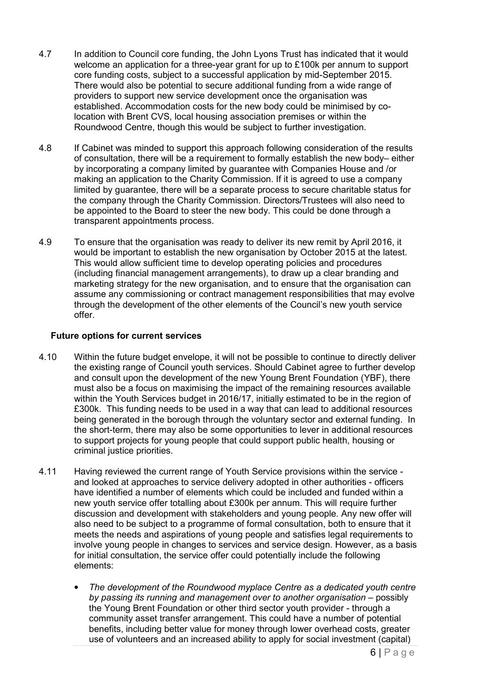- 4.7 In addition to Council core funding, the John Lyons Trust has indicated that it would welcome an application for a three-year grant for up to £100k per annum to support core funding costs, subject to a successful application by mid-September 2015. There would also be potential to secure additional funding from a wide range of providers to support new service development once the organisation was established. Accommodation costs for the new body could be minimised by colocation with Brent CVS, local housing association premises or within the Roundwood Centre, though this would be subject to further investigation.
- 4.8 If Cabinet was minded to support this approach following consideration of the results of consultation, there will be a requirement to formally establish the new body– either by incorporating a company limited by guarantee with Companies House and /or making an application to the Charity Commission. If it is agreed to use a company limited by guarantee, there will be a separate process to secure charitable status for the company through the Charity Commission. Directors/Trustees will also need to be appointed to the Board to steer the new body. This could be done through a transparent appointments process.
- 4.9 To ensure that the organisation was ready to deliver its new remit by April 2016, it would be important to establish the new organisation by October 2015 at the latest. This would allow sufficient time to develop operating policies and procedures (including financial management arrangements), to draw up a clear branding and marketing strategy for the new organisation, and to ensure that the organisation can assume any commissioning or contract management responsibilities that may evolve through the development of the other elements of the Council's new youth service offer.

### **Future options for current services**

- 4.10 Within the future budget envelope, it will not be possible to continue to directly deliver the existing range of Council youth services. Should Cabinet agree to further develop and consult upon the development of the new Young Brent Foundation (YBF), there must also be a focus on maximising the impact of the remaining resources available within the Youth Services budget in 2016/17, initially estimated to be in the region of £300k. This funding needs to be used in a way that can lead to additional resources being generated in the borough through the voluntary sector and external funding. In the short-term, there may also be some opportunities to lever in additional resources to support projects for young people that could support public health, housing or criminal justice priorities.
- 4.11 Having reviewed the current range of Youth Service provisions within the service and looked at approaches to service delivery adopted in other authorities - officers have identified a number of elements which could be included and funded within a new youth service offer totalling about £300k per annum. This will require further discussion and development with stakeholders and young people. Any new offer will also need to be subject to a programme of formal consultation, both to ensure that it meets the needs and aspirations of young people and satisfies legal requirements to involve young people in changes to services and service design. However, as a basis for initial consultation, the service offer could potentially include the following elements:
	- *The development of the Roundwood myplace Centre as a dedicated youth centre by passing its running and management over to another organisation – possibly* the Young Brent Foundation or other third sector youth provider - through a community asset transfer arrangement. This could have a number of potential benefits, including better value for money through lower overhead costs, greater use of volunteers and an increased ability to apply for social investment (capital)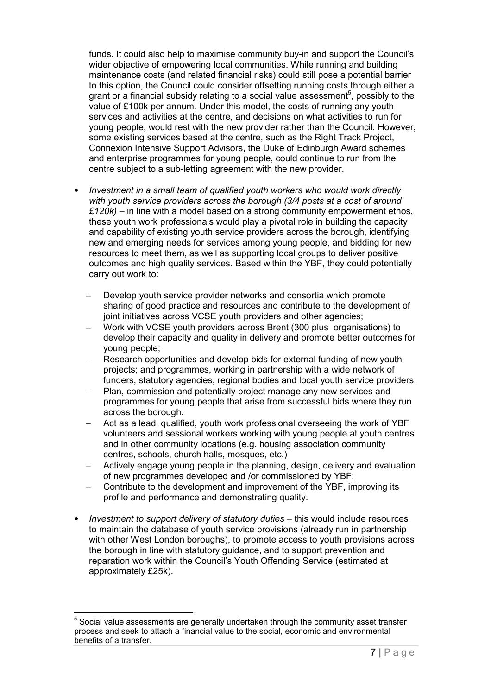funds. It could also help to maximise community buy-in and support the Council's wider objective of empowering local communities. While running and building maintenance costs (and related financial risks) could still pose a potential barrier to this option, the Council could consider offsetting running costs through either a grant or a financial subsidy relating to a social value assessment<sup>5</sup>, possibly to the value of £100k per annum. Under this model, the costs of running any youth services and activities at the centre, and decisions on what activities to run for young people, would rest with the new provider rather than the Council. However, some existing services based at the centre, such as the Right Track Project, Connexion Intensive Support Advisors, the Duke of Edinburgh Award schemes and enterprise programmes for young people, could continue to run from the centre subject to a sub-letting agreement with the new provider.

- *Investment in a small team of qualified youth workers who would work directly with youth service providers across the borough (3/4 posts at a cost of around £120k)* – in line with a model based on a strong community empowerment ethos, these youth work professionals would play a pivotal role in building the capacity and capability of existing youth service providers across the borough, identifying new and emerging needs for services among young people, and bidding for new resources to meet them, as well as supporting local groups to deliver positive outcomes and high quality services. Based within the YBF, they could potentially carry out work to:
	- Develop youth service provider networks and consortia which promote sharing of good practice and resources and contribute to the development of joint initiatives across VCSE youth providers and other agencies;
	- − Work with VCSE youth providers across Brent (300 plus organisations) to develop their capacity and quality in delivery and promote better outcomes for young people;
	- − Research opportunities and develop bids for external funding of new youth projects; and programmes, working in partnership with a wide network of funders, statutory agencies, regional bodies and local youth service providers.
	- − Plan, commission and potentially project manage any new services and programmes for young people that arise from successful bids where they run across the borough.
	- − Act as a lead, qualified, youth work professional overseeing the work of YBF volunteers and sessional workers working with young people at youth centres and in other community locations (e.g. housing association community centres, schools, church halls, mosques, etc.)
	- − Actively engage young people in the planning, design, delivery and evaluation of new programmes developed and /or commissioned by YBF;
	- − Contribute to the development and improvement of the YBF, improving its profile and performance and demonstrating quality.
- *Investment to support delivery of statutory duties* this would include resources to maintain the database of youth service provisions (already run in partnership with other West London boroughs), to promote access to youth provisions across the borough in line with statutory guidance, and to support prevention and reparation work within the Council's Youth Offending Service (estimated at approximately £25k).

<sup>————————————————————&</sup>lt;br><sup>5</sup> Social value assessments are generally undertaken through the community asset transfer process and seek to attach a financial value to the social, economic and environmental benefits of a transfer.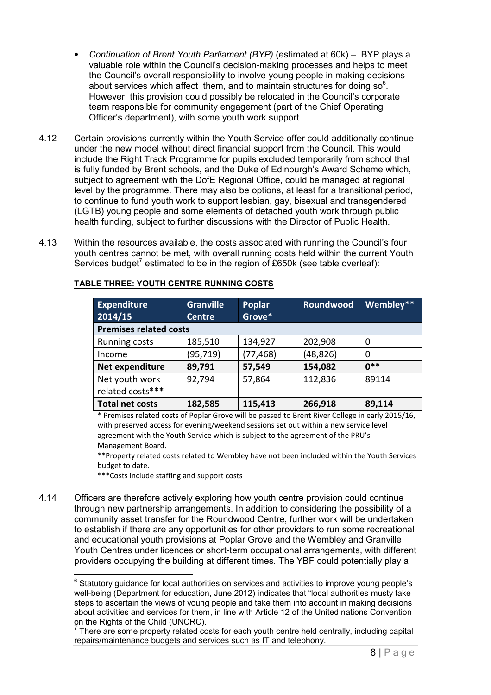- *Continuation of Brent Youth Parliament (BYP)* (estimated at 60k) BYP plays a valuable role within the Council's decision-making processes and helps to meet the Council's overall responsibility to involve young people in making decisions about services which affect them, and to maintain structures for doing  $so<sup>6</sup>$ . However, this provision could possibly be relocated in the Council's corporate team responsible for community engagement (part of the Chief Operating Officer's department), with some youth work support.
- 4.12 Certain provisions currently within the Youth Service offer could additionally continue under the new model without direct financial support from the Council. This would include the Right Track Programme for pupils excluded temporarily from school that is fully funded by Brent schools, and the Duke of Edinburgh's Award Scheme which, subject to agreement with the DofE Regional Office, could be managed at regional level by the programme. There may also be options, at least for a transitional period, to continue to fund youth work to support lesbian, gay, bisexual and transgendered (LGTB) young people and some elements of detached youth work through public health funding, subject to further discussions with the Director of Public Health.
- 4.13 Within the resources available, the costs associated with running the Council's four youth centres cannot be met, with overall running costs held within the current Youth Services budget<sup>7</sup> estimated to be in the region of £650k (see table overleaf):

| <b>Expenditure</b>            | <b>Granville</b> | Poplar    | Roundwood | Wembley** |
|-------------------------------|------------------|-----------|-----------|-----------|
| $\sqrt{2014/15}$              | <b>Centre</b>    | Grove*    |           |           |
| <b>Premises related costs</b> |                  |           |           |           |
| <b>Running costs</b>          | 185,510          | 134,927   | 202,908   | 0         |
| Income                        | (95, 719)        | (77, 468) | (48, 826) | 0         |
| Net expenditure               | 89,791           | 57,549    | 154,082   | $0***$    |
| Net youth work                | 92,794           | 57,864    | 112,836   | 89114     |
| related costs***              |                  |           |           |           |
| <b>Total net costs</b>        | 182,585          | 115,413   | 266,918   | 89,114    |

#### **TABLE THREE: YOUTH CENTRE RUNNING COSTS**

\* Premises related costs of Poplar Grove will be passed to Brent River College in early 2015/16, with preserved access for evening/weekend sessions set out within a new service level agreement with the Youth Service which is subject to the agreement of the PRU's Management Board.

\*\*Property related costs related to Wembley have not been included within the Youth Services budget to date.

\*\*\*Costs include staffing and support costs

4.14 Officers are therefore actively exploring how youth centre provision could continue through new partnership arrangements. In addition to considering the possibility of a community asset transfer for the Roundwood Centre, further work will be undertaken to establish if there are any opportunities for other providers to run some recreational and educational youth provisions at Poplar Grove and the Wembley and Granville Youth Centres under licences or short-term occupational arrangements, with different providers occupying the building at different times. The YBF could potentially play a

 6 Statutory guidance for local authorities on services and activities to improve young people's well-being (Department for education, June 2012) indicates that "local authorities musty take steps to ascertain the views of young people and take them into account in making decisions about activities and services for them, in line with Article 12 of the United nations Convention on the Rights of the Child (UNCRC).

 $7$  There are some property related costs for each youth centre held centrally, including capital repairs/maintenance budgets and services such as IT and telephony.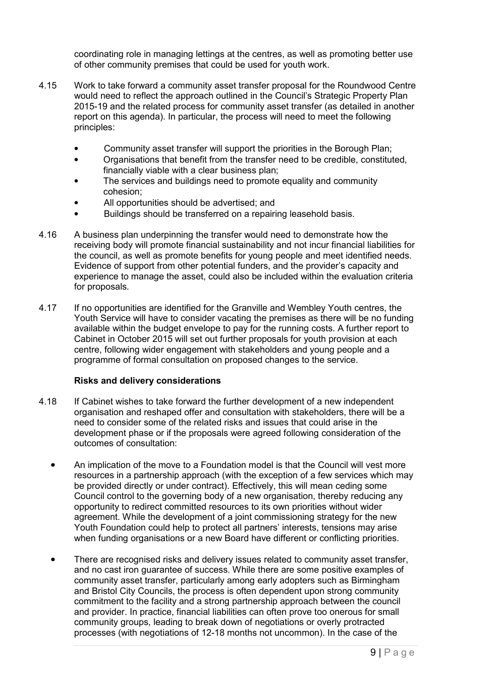coordinating role in managing lettings at the centres, as well as promoting better use of other community premises that could be used for youth work.

- 4.15 Work to take forward a community asset transfer proposal for the Roundwood Centre would need to reflect the approach outlined in the Council's Strategic Property Plan 2015-19 and the related process for community asset transfer (as detailed in another report on this agenda). In particular, the process will need to meet the following principles:
	- Community asset transfer will support the priorities in the Borough Plan;
	- Organisations that benefit from the transfer need to be credible, constituted, financially viable with a clear business plan;
	- The services and buildings need to promote equality and community cohesion;
	- All opportunities should be advertised; and
	- Buildings should be transferred on a repairing leasehold basis.
- 4.16 A business plan underpinning the transfer would need to demonstrate how the receiving body will promote financial sustainability and not incur financial liabilities for the council, as well as promote benefits for young people and meet identified needs. Evidence of support from other potential funders, and the provider's capacity and experience to manage the asset, could also be included within the evaluation criteria for proposals.
- 4.17 If no opportunities are identified for the Granville and Wembley Youth centres, the Youth Service will have to consider vacating the premises as there will be no funding available within the budget envelope to pay for the running costs. A further report to Cabinet in October 2015 will set out further proposals for youth provision at each centre, following wider engagement with stakeholders and young people and a programme of formal consultation on proposed changes to the service.

#### **Risks and delivery considerations**

- 4.18 If Cabinet wishes to take forward the further development of a new independent organisation and reshaped offer and consultation with stakeholders, there will be a need to consider some of the related risks and issues that could arise in the development phase or if the proposals were agreed following consideration of the outcomes of consultation:
	- An implication of the move to a Foundation model is that the Council will vest more resources in a partnership approach (with the exception of a few services which may be provided directly or under contract). Effectively, this will mean ceding some Council control to the governing body of a new organisation, thereby reducing any opportunity to redirect committed resources to its own priorities without wider agreement. While the development of a joint commissioning strategy for the new Youth Foundation could help to protect all partners' interests, tensions may arise when funding organisations or a new Board have different or conflicting priorities.
	- There are recognised risks and delivery issues related to community asset transfer, and no cast iron guarantee of success. While there are some positive examples of community asset transfer, particularly among early adopters such as Birmingham and Bristol City Councils, the process is often dependent upon strong community commitment to the facility and a strong partnership approach between the council and provider. In practice, financial liabilities can often prove too onerous for small community groups, leading to break down of negotiations or overly protracted processes (with negotiations of 12-18 months not uncommon). In the case of the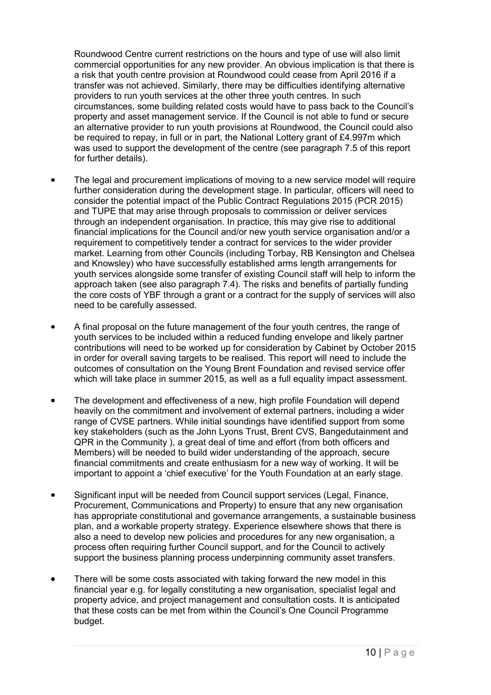Roundwood Centre current restrictions on the hours and type of use will also limit commercial opportunities for any new provider. An obvious implication is that there is a risk that youth centre provision at Roundwood could cease from April 2016 if a transfer was not achieved. Similarly, there may be difficulties identifying alternative providers to run youth services at the other three youth centres. In such circumstances, some building related costs would have to pass back to the Council's property and asset management service. If the Council is not able to fund or secure an alternative provider to run youth provisions at Roundwood, the Council could also be required to repay, in full or in part, the National Lottery grant of £4.997m which was used to support the development of the centre (see paragraph 7.5 of this report for further details).

- The legal and procurement implications of moving to a new service model will require further consideration during the development stage. In particular, officers will need to consider the potential impact of the Public Contract Regulations 2015 (PCR 2015) and TUPE that may arise through proposals to commission or deliver services through an independent organisation. In practice, this may give rise to additional financial implications for the Council and/or new youth service organisation and/or a requirement to competitively tender a contract for services to the wider provider market. Learning from other Councils (including Torbay, RB Kensington and Chelsea and Knowsley) who have successfully established arms length arrangements for youth services alongside some transfer of existing Council staff will help to inform the approach taken (see also paragraph 7.4). The risks and benefits of partially funding the core costs of YBF through a grant or a contract for the supply of services will also need to be carefully assessed.
- A final proposal on the future management of the four youth centres, the range of youth services to be included within a reduced funding envelope and likely partner contributions will need to be worked up for consideration by Cabinet by October 2015 in order for overall saving targets to be realised. This report will need to include the outcomes of consultation on the Young Brent Foundation and revised service offer which will take place in summer 2015, as well as a full equality impact assessment.
- The development and effectiveness of a new, high profile Foundation will depend heavily on the commitment and involvement of external partners, including a wider range of CVSE partners. While initial soundings have identified support from some key stakeholders (such as the John Lyons Trust, Brent CVS, Bangedutainment and QPR in the Community ), a great deal of time and effort (from both officers and Members) will be needed to build wider understanding of the approach, secure financial commitments and create enthusiasm for a new way of working. It will be important to appoint a 'chief executive' for the Youth Foundation at an early stage.
- Significant input will be needed from Council support services (Legal, Finance, Procurement, Communications and Property) to ensure that any new organisation has appropriate constitutional and governance arrangements, a sustainable business plan, and a workable property strategy. Experience elsewhere shows that there is also a need to develop new policies and procedures for any new organisation, a process often requiring further Council support, and for the Council to actively support the business planning process underpinning community asset transfers.
- There will be some costs associated with taking forward the new model in this financial year e.g. for legally constituting a new organisation, specialist legal and property advice, and project management and consultation costs. It is anticipated that these costs can be met from within the Council's One Council Programme budget.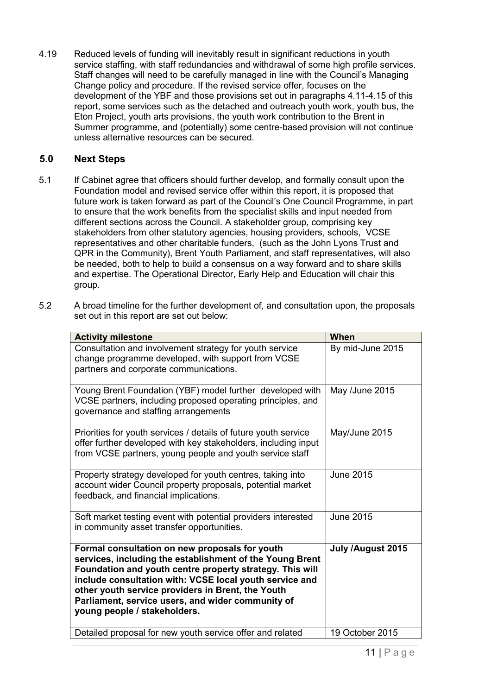4.19 Reduced levels of funding will inevitably result in significant reductions in youth service staffing, with staff redundancies and withdrawal of some high profile services. Staff changes will need to be carefully managed in line with the Council's Managing Change policy and procedure. If the revised service offer, focuses on the development of the YBF and those provisions set out in paragraphs 4.11-4.15 of this report, some services such as the detached and outreach youth work, youth bus, the Eton Project, youth arts provisions, the youth work contribution to the Brent in Summer programme, and (potentially) some centre-based provision will not continue unless alternative resources can be secured.

# **5.0 Next Steps**

- 5.1 If Cabinet agree that officers should further develop, and formally consult upon the Foundation model and revised service offer within this report, it is proposed that future work is taken forward as part of the Council's One Council Programme, in part to ensure that the work benefits from the specialist skills and input needed from different sections across the Council. A stakeholder group, comprising key stakeholders from other statutory agencies, housing providers, schools, VCSE representatives and other charitable funders, (such as the John Lyons Trust and QPR in the Community), Brent Youth Parliament, and staff representatives, will also be needed, both to help to build a consensus on a way forward and to share skills and expertise. The Operational Director, Early Help and Education will chair this group.
- 5.2 A broad timeline for the further development of, and consultation upon, the proposals set out in this report are set out below:

| <b>Activity milestone</b>                                                                                                                                                                                                                                                                                                                                                   | When              |
|-----------------------------------------------------------------------------------------------------------------------------------------------------------------------------------------------------------------------------------------------------------------------------------------------------------------------------------------------------------------------------|-------------------|
| Consultation and involvement strategy for youth service<br>change programme developed, with support from VCSE<br>partners and corporate communications.                                                                                                                                                                                                                     | By mid-June 2015  |
| Young Brent Foundation (YBF) model further developed with<br>VCSE partners, including proposed operating principles, and<br>governance and staffing arrangements                                                                                                                                                                                                            | May /June 2015    |
| Priorities for youth services / details of future youth service<br>offer further developed with key stakeholders, including input<br>from VCSE partners, young people and youth service staff                                                                                                                                                                               | May/June 2015     |
| Property strategy developed for youth centres, taking into<br>account wider Council property proposals, potential market<br>feedback, and financial implications.                                                                                                                                                                                                           | <b>June 2015</b>  |
| Soft market testing event with potential providers interested<br>in community asset transfer opportunities.                                                                                                                                                                                                                                                                 | <b>June 2015</b>  |
| Formal consultation on new proposals for youth<br>services, including the establishment of the Young Brent<br>Foundation and youth centre property strategy. This will<br>include consultation with: VCSE local youth service and<br>other youth service providers in Brent, the Youth<br>Parliament, service users, and wider community of<br>young people / stakeholders. | July /August 2015 |
| Detailed proposal for new youth service offer and related                                                                                                                                                                                                                                                                                                                   | 19 October 2015   |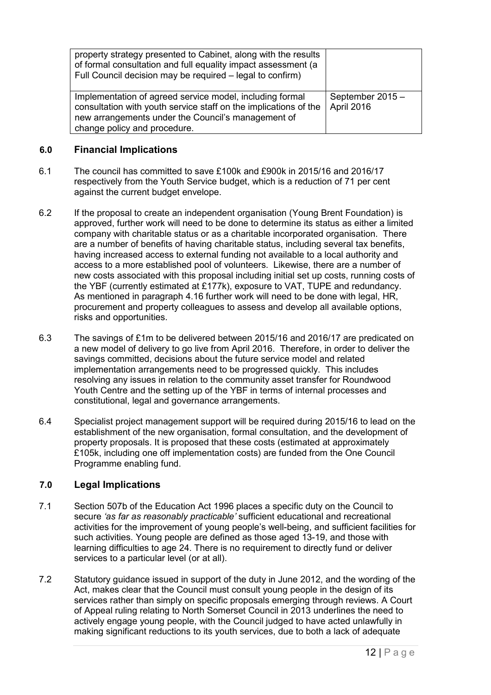| property strategy presented to Cabinet, along with the results<br>of formal consultation and full equality impact assessment (a<br>Full Council decision may be required – legal to confirm)                       |                                |
|--------------------------------------------------------------------------------------------------------------------------------------------------------------------------------------------------------------------|--------------------------------|
| Implementation of agreed service model, including formal<br>consultation with youth service staff on the implications of the<br>new arrangements under the Council's management of<br>change policy and procedure. | September 2015 -<br>April 2016 |

#### **6.0 Financial Implications**

- 6.1 The council has committed to save £100k and £900k in 2015/16 and 2016/17 respectively from the Youth Service budget, which is a reduction of 71 per cent against the current budget envelope.
- 6.2 If the proposal to create an independent organisation (Young Brent Foundation) is approved, further work will need to be done to determine its status as either a limited company with charitable status or as a charitable incorporated organisation. There are a number of benefits of having charitable status, including several tax benefits, having increased access to external funding not available to a local authority and access to a more established pool of volunteers. Likewise, there are a number of new costs associated with this proposal including initial set up costs, running costs of the YBF (currently estimated at £177k), exposure to VAT, TUPE and redundancy. As mentioned in paragraph 4.16 further work will need to be done with legal, HR, procurement and property colleagues to assess and develop all available options, risks and opportunities.
- 6.3 The savings of £1m to be delivered between 2015/16 and 2016/17 are predicated on a new model of delivery to go live from April 2016. Therefore, in order to deliver the savings committed, decisions about the future service model and related implementation arrangements need to be progressed quickly. This includes resolving any issues in relation to the community asset transfer for Roundwood Youth Centre and the setting up of the YBF in terms of internal processes and constitutional, legal and governance arrangements.
- 6.4 Specialist project management support will be required during 2015/16 to lead on the establishment of the new organisation, formal consultation, and the development of property proposals. It is proposed that these costs (estimated at approximately £105k, including one off implementation costs) are funded from the One Council Programme enabling fund.

### **7.0 Legal Implications**

- 7.1 Section 507b of the Education Act 1996 places a specific duty on the Council to secure *'as far as reasonably practicable'* sufficient educational and recreational activities for the improvement of young people's well-being, and sufficient facilities for such activities. Young people are defined as those aged 13-19, and those with learning difficulties to age 24. There is no requirement to directly fund or deliver services to a particular level (or at all).
- 7.2 Statutory guidance issued in support of the duty in June 2012, and the wording of the Act, makes clear that the Council must consult young people in the design of its services rather than simply on specific proposals emerging through reviews. A Court of Appeal ruling relating to North Somerset Council in 2013 underlines the need to actively engage young people, with the Council judged to have acted unlawfully in making significant reductions to its youth services, due to both a lack of adequate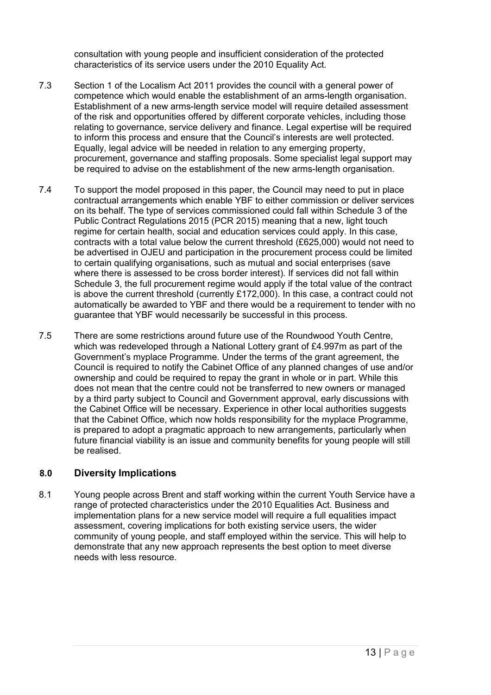consultation with young people and insufficient consideration of the protected characteristics of its service users under the 2010 Equality Act.

- 7.3 Section 1 of the Localism Act 2011 provides the council with a general power of competence which would enable the establishment of an arms-length organisation. Establishment of a new arms-length service model will require detailed assessment of the risk and opportunities offered by different corporate vehicles, including those relating to governance, service delivery and finance. Legal expertise will be required to inform this process and ensure that the Council's interests are well protected. Equally, legal advice will be needed in relation to any emerging property, procurement, governance and staffing proposals. Some specialist legal support may be required to advise on the establishment of the new arms-length organisation.
- 7.4 To support the model proposed in this paper, the Council may need to put in place contractual arrangements which enable YBF to either commission or deliver services on its behalf. The type of services commissioned could fall within Schedule 3 of the Public Contract Regulations 2015 (PCR 2015) meaning that a new, light touch regime for certain health, social and education services could apply. In this case, contracts with a total value below the current threshold (£625,000) would not need to be advertised in OJEU and participation in the procurement process could be limited to certain qualifying organisations, such as mutual and social enterprises (save where there is assessed to be cross border interest). If services did not fall within Schedule 3, the full procurement regime would apply if the total value of the contract is above the current threshold (currently £172,000). In this case, a contract could not automatically be awarded to YBF and there would be a requirement to tender with no guarantee that YBF would necessarily be successful in this process.
- 7.5 There are some restrictions around future use of the Roundwood Youth Centre, which was redeveloped through a National Lottery grant of £4.997m as part of the Government's myplace Programme. Under the terms of the grant agreement, the Council is required to notify the Cabinet Office of any planned changes of use and/or ownership and could be required to repay the grant in whole or in part. While this does not mean that the centre could not be transferred to new owners or managed by a third party subject to Council and Government approval, early discussions with the Cabinet Office will be necessary. Experience in other local authorities suggests that the Cabinet Office, which now holds responsibility for the myplace Programme, is prepared to adopt a pragmatic approach to new arrangements, particularly when future financial viability is an issue and community benefits for young people will still be realised.

#### **8.0 Diversity Implications**

8.1 Young people across Brent and staff working within the current Youth Service have a range of protected characteristics under the 2010 Equalities Act. Business and implementation plans for a new service model will require a full equalities impact assessment, covering implications for both existing service users, the wider community of young people, and staff employed within the service. This will help to demonstrate that any new approach represents the best option to meet diverse needs with less resource.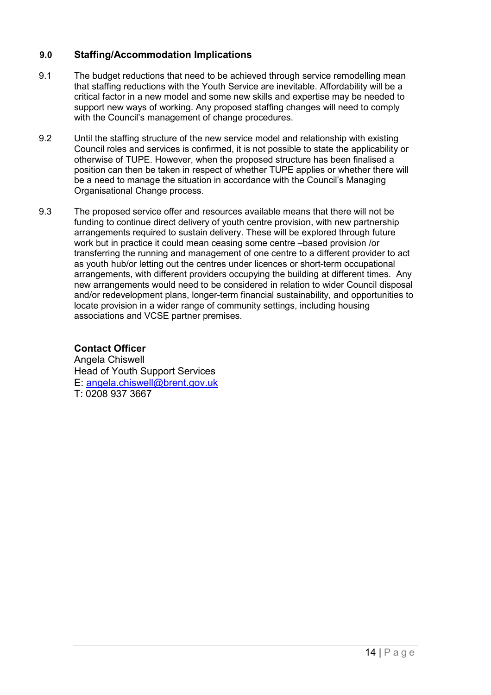# **9.0 Staffing/Accommodation Implications**

- 9.1 The budget reductions that need to be achieved through service remodelling mean that staffing reductions with the Youth Service are inevitable. Affordability will be a critical factor in a new model and some new skills and expertise may be needed to support new ways of working. Any proposed staffing changes will need to comply with the Council's management of change procedures.
- 9.2 Until the staffing structure of the new service model and relationship with existing Council roles and services is confirmed, it is not possible to state the applicability or otherwise of TUPE. However, when the proposed structure has been finalised a position can then be taken in respect of whether TUPE applies or whether there will be a need to manage the situation in accordance with the Council's Managing Organisational Change process.
- 9.3 The proposed service offer and resources available means that there will not be funding to continue direct delivery of youth centre provision, with new partnership arrangements required to sustain delivery. These will be explored through future work but in practice it could mean ceasing some centre –based provision /or transferring the running and management of one centre to a different provider to act as youth hub/or letting out the centres under licences or short-term occupational arrangements, with different providers occupying the building at different times. Any new arrangements would need to be considered in relation to wider Council disposal and/or redevelopment plans, longer-term financial sustainability, and opportunities to locate provision in a wider range of community settings, including housing associations and VCSE partner premises.

### **Contact Officer**

Angela Chiswell Head of Youth Support Services E: angela.chiswell@brent.gov.uk T: 0208 937 3667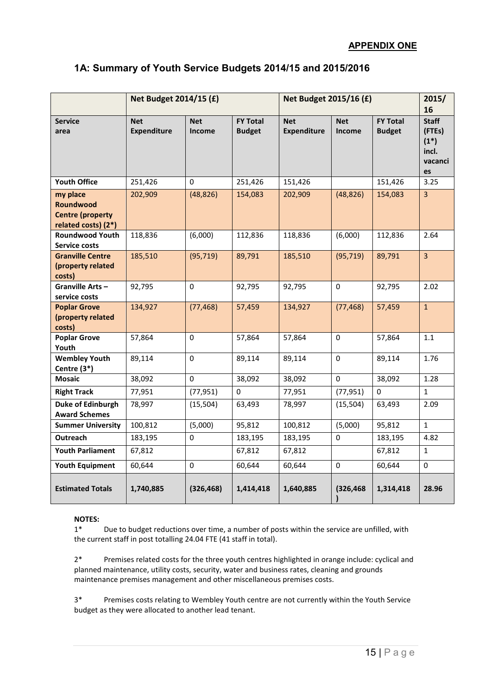#### **APPENDIX ONE**

#### **1A: Summary of Youth Service Budgets 2014/15 and 2015/2016**

|                                                                         | Net Budget 2014/15 (£)           |                      |                                  | Net Budget 2015/16 (£)           |                      |                                  | 2015/<br>16                                                 |
|-------------------------------------------------------------------------|----------------------------------|----------------------|----------------------------------|----------------------------------|----------------------|----------------------------------|-------------------------------------------------------------|
| <b>Service</b><br>area                                                  | <b>Net</b><br><b>Expenditure</b> | <b>Net</b><br>Income | <b>FY Total</b><br><b>Budget</b> | <b>Net</b><br><b>Expenditure</b> | <b>Net</b><br>Income | <b>FY Total</b><br><b>Budget</b> | <b>Staff</b><br>(FTEs)<br>$(1^*)$<br>incl.<br>vacanci<br>es |
| <b>Youth Office</b>                                                     | 251,426                          | 0                    | 251,426                          | 151,426                          |                      | 151,426                          | 3.25                                                        |
| my place<br>Roundwood<br><b>Centre (property</b><br>related costs) (2*) | 202,909                          | (48, 826)            | 154,083                          | 202,909                          | (48, 826)            | 154,083                          | $\overline{3}$                                              |
| <b>Roundwood Youth</b><br><b>Service costs</b>                          | 118,836                          | (6,000)              | 112,836                          | 118,836                          | (6,000)              | 112,836                          | 2.64                                                        |
| <b>Granville Centre</b><br>(property related<br>costs)                  | 185,510                          | (95, 719)            | 89,791                           | 185,510                          | (95, 719)            | 89,791                           | $\overline{3}$                                              |
| Granville Arts-<br>service costs                                        | 92,795                           | 0                    | 92,795                           | 92,795                           | 0                    | 92,795                           | 2.02                                                        |
| <b>Poplar Grove</b><br>(property related<br>costs)                      | 134,927                          | (77, 468)            | 57,459                           | 134,927                          | (77, 468)            | 57,459                           | $\mathbf{1}$                                                |
| <b>Poplar Grove</b><br>Youth                                            | 57,864                           | $\mathbf 0$          | 57,864                           | 57,864                           | $\mathbf 0$          | 57,864                           | 1.1                                                         |
| <b>Wembley Youth</b><br>Centre (3*)                                     | 89,114                           | 0                    | 89,114                           | 89,114                           | $\mathbf 0$          | 89,114                           | 1.76                                                        |
| <b>Mosaic</b>                                                           | 38,092                           | $\mathbf 0$          | 38,092                           | 38,092                           | $\mathbf 0$          | 38,092                           | 1.28                                                        |
| <b>Right Track</b>                                                      | 77,951                           | (77, 951)            | 0                                | 77,951                           | (77, 951)            | $\mathbf{0}$                     | $\mathbf{1}$                                                |
| <b>Duke of Edinburgh</b><br><b>Award Schemes</b>                        | 78,997                           | (15, 504)            | 63,493                           | 78,997                           | (15, 504)            | 63,493                           | 2.09                                                        |
| <b>Summer University</b>                                                | 100,812                          | (5,000)              | 95,812                           | 100,812                          | (5,000)              | 95,812                           | $\mathbf{1}$                                                |
| Outreach                                                                | 183,195                          | 0                    | 183,195                          | 183,195                          | $\mathbf 0$          | 183,195                          | 4.82                                                        |
| <b>Youth Parliament</b>                                                 | 67,812                           |                      | 67,812                           | 67,812                           |                      | 67,812                           | $\mathbf{1}$                                                |
| <b>Youth Equipment</b>                                                  | 60,644                           | 0                    | 60,644                           | 60,644                           | 0                    | 60,644                           | 0                                                           |
| <b>Estimated Totals</b>                                                 | 1,740,885                        | (326, 468)           | 1,414,418                        | 1,640,885                        | (326, 468)           | 1,314,418                        | 28.96                                                       |

#### **NOTES:**

1\* Due to budget reductions over time, a number of posts within the service are unfilled, with the current staff in post totalling 24.04 FTE (41 staff in total).

2\* Premises related costs for the three youth centres highlighted in orange include: cyclical and planned maintenance, utility costs, security, water and business rates, cleaning and grounds maintenance premises management and other miscellaneous premises costs.

3\* Premises costs relating to Wembley Youth centre are not currently within the Youth Service budget as they were allocated to another lead tenant.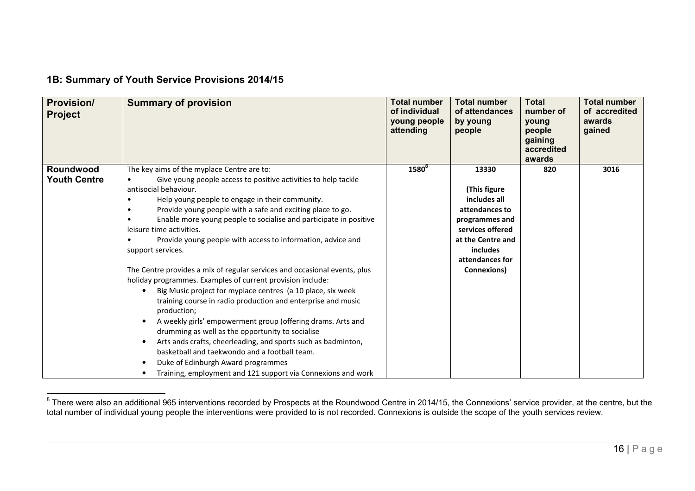|  |  | 1B: Summary of Youth Service Provisions 2014/15 |
|--|--|-------------------------------------------------|
|--|--|-------------------------------------------------|

| <b>Provision/</b><br><b>Project</b> | <b>Summary of provision</b>                                                                                                                                                                                                                                                                                                                                                                                                                                                                                                                                                                                                                                                                                                                                                                                                                                                       | <b>Total number</b><br>of individual<br>young people<br>attending | <b>Total number</b><br>of attendances<br>by young<br>people                                                                                                             | <b>Total</b><br>number of<br>young<br>people<br>gaining<br>accredited<br>awards | <b>Total number</b><br>of accredited<br>awards<br>gained |
|-------------------------------------|-----------------------------------------------------------------------------------------------------------------------------------------------------------------------------------------------------------------------------------------------------------------------------------------------------------------------------------------------------------------------------------------------------------------------------------------------------------------------------------------------------------------------------------------------------------------------------------------------------------------------------------------------------------------------------------------------------------------------------------------------------------------------------------------------------------------------------------------------------------------------------------|-------------------------------------------------------------------|-------------------------------------------------------------------------------------------------------------------------------------------------------------------------|---------------------------------------------------------------------------------|----------------------------------------------------------|
| Roundwood<br><b>Youth Centre</b>    | The key aims of the myplace Centre are to:<br>Give young people access to positive activities to help tackle<br>antisocial behaviour.<br>Help young people to engage in their community.<br>Provide young people with a safe and exciting place to go.<br>Enable more young people to socialise and participate in positive<br>leisure time activities.<br>Provide young people with access to information, advice and<br>support services.<br>The Centre provides a mix of regular services and occasional events, plus<br>holiday programmes. Examples of current provision include:<br>Big Music project for myplace centres (a 10 place, six week<br>$\bullet$<br>training course in radio production and enterprise and music<br>production;<br>A weekly girls' empowerment group (offering drams. Arts and<br>$\bullet$<br>drumming as well as the opportunity to socialise | 1580 <sup>8</sup>                                                 | 13330<br>(This figure<br>includes all<br>attendances to<br>programmes and<br>services offered<br>at the Centre and<br><i>includes</i><br>attendances for<br>Connexions) | 820                                                                             | 3016                                                     |
|                                     | Arts ands crafts, cheerleading, and sports such as badminton,<br>$\bullet$<br>basketball and taekwondo and a football team.<br>Duke of Edinburgh Award programmes<br>٠<br>Training, employment and 121 support via Connexions and work                                                                                                                                                                                                                                                                                                                                                                                                                                                                                                                                                                                                                                            |                                                                   |                                                                                                                                                                         |                                                                                 |                                                          |

<sup>&</sup>lt;sup>8</sup> There were also an additional 965 interventions recorded by Prospects at the Roundwood Centre in 2014/15, the Connexions' service provider, at the centre, but the<br>total number of individual young people the interventio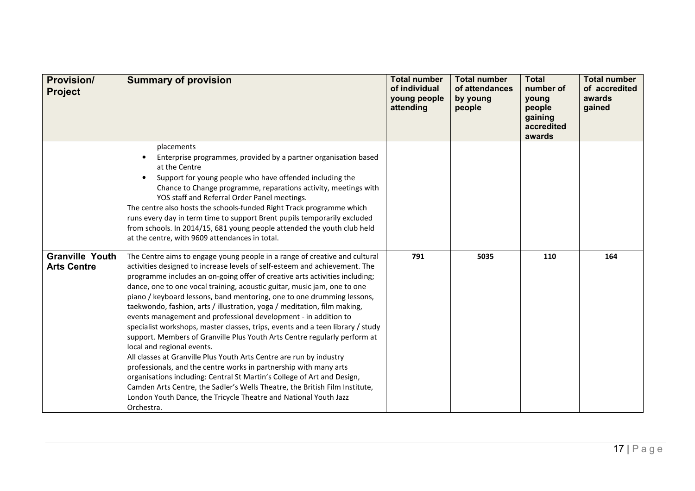| <b>Provision/</b><br><b>Project</b>          | <b>Summary of provision</b>                                                                                                                                                                                                                                                                                                                                                                                                                                                                                                                                                                                                                                                                                                                                                                                                                                                                                                                                                                                                                                                                                                       | <b>Total number</b><br>of individual<br>young people<br>attending | <b>Total number</b><br>of attendances<br>by young<br>people | <b>Total</b><br>number of<br>young<br>people<br>gaining<br>accredited<br>awards | <b>Total number</b><br>of accredited<br>awards<br>gained |
|----------------------------------------------|-----------------------------------------------------------------------------------------------------------------------------------------------------------------------------------------------------------------------------------------------------------------------------------------------------------------------------------------------------------------------------------------------------------------------------------------------------------------------------------------------------------------------------------------------------------------------------------------------------------------------------------------------------------------------------------------------------------------------------------------------------------------------------------------------------------------------------------------------------------------------------------------------------------------------------------------------------------------------------------------------------------------------------------------------------------------------------------------------------------------------------------|-------------------------------------------------------------------|-------------------------------------------------------------|---------------------------------------------------------------------------------|----------------------------------------------------------|
|                                              | placements<br>Enterprise programmes, provided by a partner organisation based<br>at the Centre<br>Support for young people who have offended including the<br>Chance to Change programme, reparations activity, meetings with<br>YOS staff and Referral Order Panel meetings.<br>The centre also hosts the schools-funded Right Track programme which<br>runs every day in term time to support Brent pupils temporarily excluded<br>from schools. In 2014/15, 681 young people attended the youth club held<br>at the centre, with 9609 attendances in total.                                                                                                                                                                                                                                                                                                                                                                                                                                                                                                                                                                    |                                                                   |                                                             |                                                                                 |                                                          |
| <b>Granville Youth</b><br><b>Arts Centre</b> | The Centre aims to engage young people in a range of creative and cultural<br>activities designed to increase levels of self-esteem and achievement. The<br>programme includes an on-going offer of creative arts activities including;<br>dance, one to one vocal training, acoustic guitar, music jam, one to one<br>piano / keyboard lessons, band mentoring, one to one drumming lessons,<br>taekwondo, fashion, arts / illustration, yoga / meditation, film making,<br>events management and professional development - in addition to<br>specialist workshops, master classes, trips, events and a teen library / study<br>support. Members of Granville Plus Youth Arts Centre regularly perform at<br>local and regional events.<br>All classes at Granville Plus Youth Arts Centre are run by industry<br>professionals, and the centre works in partnership with many arts<br>organisations including: Central St Martin's College of Art and Design,<br>Camden Arts Centre, the Sadler's Wells Theatre, the British Film Institute,<br>London Youth Dance, the Tricycle Theatre and National Youth Jazz<br>Orchestra. | 791                                                               | 5035                                                        | 110                                                                             | 164                                                      |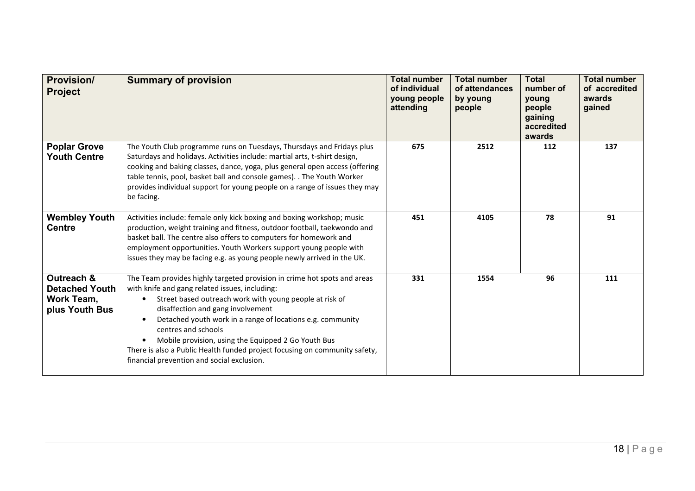| <b>Provision/</b><br><b>Project</b>                                        | <b>Summary of provision</b>                                                                                                                                                                                                                                                                                                                                                                                                                                                                                     | <b>Total number</b><br>of individual<br>young people<br>attending | <b>Total number</b><br>of attendances<br>by young<br>people | <b>Total</b><br>number of<br>young<br>people<br>gaining<br>accredited<br>awards | <b>Total number</b><br>of accredited<br>awards<br>gained |
|----------------------------------------------------------------------------|-----------------------------------------------------------------------------------------------------------------------------------------------------------------------------------------------------------------------------------------------------------------------------------------------------------------------------------------------------------------------------------------------------------------------------------------------------------------------------------------------------------------|-------------------------------------------------------------------|-------------------------------------------------------------|---------------------------------------------------------------------------------|----------------------------------------------------------|
| <b>Poplar Grove</b><br><b>Youth Centre</b>                                 | The Youth Club programme runs on Tuesdays, Thursdays and Fridays plus<br>Saturdays and holidays. Activities include: martial arts, t-shirt design,<br>cooking and baking classes, dance, yoga, plus general open access (offering<br>table tennis, pool, basket ball and console games). . The Youth Worker<br>provides individual support for young people on a range of issues they may<br>be facing.                                                                                                         | 675                                                               | 2512                                                        | 112                                                                             | 137                                                      |
| <b>Wembley Youth</b><br><b>Centre</b>                                      | Activities include: female only kick boxing and boxing workshop; music<br>production, weight training and fitness, outdoor football, taekwondo and<br>basket ball. The centre also offers to computers for homework and<br>employment opportunities. Youth Workers support young people with<br>issues they may be facing e.g. as young people newly arrived in the UK.                                                                                                                                         | 451                                                               | 4105                                                        | 78                                                                              | 91                                                       |
| Outreach &<br><b>Detached Youth</b><br><b>Work Team,</b><br>plus Youth Bus | The Team provides highly targeted provision in crime hot spots and areas<br>with knife and gang related issues, including:<br>Street based outreach work with young people at risk of<br>disaffection and gang involvement<br>Detached youth work in a range of locations e.g. community<br>$\bullet$<br>centres and schools<br>Mobile provision, using the Equipped 2 Go Youth Bus<br>There is also a Public Health funded project focusing on community safety,<br>financial prevention and social exclusion. | 331                                                               | 1554                                                        | 96                                                                              | 111                                                      |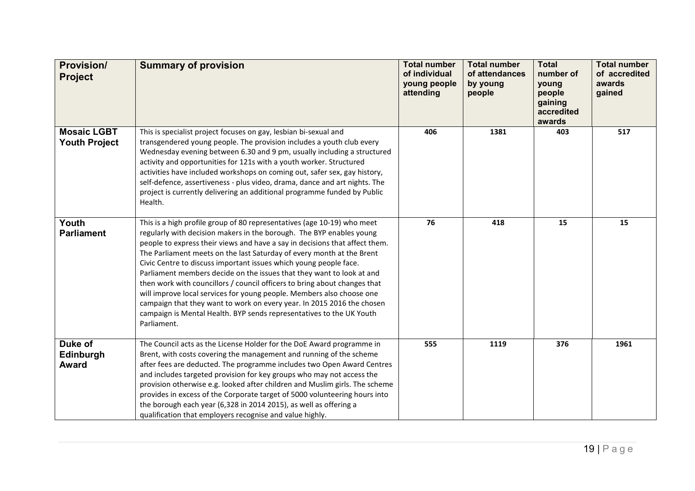| <b>Provision/</b><br><b>Project</b>        | <b>Summary of provision</b>                                                                                                                                                                                                                                                                                                                                                                                                                                                                                                                                                                                                                                                                                                                                                  | <b>Total number</b><br>of individual<br>young people<br>attending | <b>Total number</b><br>of attendances<br>by young<br>people | <b>Total</b><br>number of<br>young<br>people<br>gaining<br>accredited<br>awards | <b>Total number</b><br>of accredited<br>awards<br>gained |
|--------------------------------------------|------------------------------------------------------------------------------------------------------------------------------------------------------------------------------------------------------------------------------------------------------------------------------------------------------------------------------------------------------------------------------------------------------------------------------------------------------------------------------------------------------------------------------------------------------------------------------------------------------------------------------------------------------------------------------------------------------------------------------------------------------------------------------|-------------------------------------------------------------------|-------------------------------------------------------------|---------------------------------------------------------------------------------|----------------------------------------------------------|
| <b>Mosaic LGBT</b><br><b>Youth Project</b> | This is specialist project focuses on gay, lesbian bi-sexual and<br>transgendered young people. The provision includes a youth club every<br>Wednesday evening between 6.30 and 9 pm, usually including a structured<br>activity and opportunities for 121s with a youth worker. Structured<br>activities have included workshops on coming out, safer sex, gay history,<br>self-defence, assertiveness - plus video, drama, dance and art nights. The<br>project is currently delivering an additional programme funded by Public<br>Health.                                                                                                                                                                                                                                | 406                                                               | 1381                                                        | 403                                                                             | 517                                                      |
| Youth<br><b>Parliament</b>                 | This is a high profile group of 80 representatives (age 10-19) who meet<br>regularly with decision makers in the borough. The BYP enables young<br>people to express their views and have a say in decisions that affect them.<br>The Parliament meets on the last Saturday of every month at the Brent<br>Civic Centre to discuss important issues which young people face.<br>Parliament members decide on the issues that they want to look at and<br>then work with councillors / council officers to bring about changes that<br>will improve local services for young people. Members also choose one<br>campaign that they want to work on every year. In 2015 2016 the chosen<br>campaign is Mental Health. BYP sends representatives to the UK Youth<br>Parliament. | 76                                                                | 418                                                         | 15                                                                              | 15                                                       |
| Duke of<br>Edinburgh<br><b>Award</b>       | The Council acts as the License Holder for the DoE Award programme in<br>Brent, with costs covering the management and running of the scheme<br>after fees are deducted. The programme includes two Open Award Centres<br>and includes targeted provision for key groups who may not access the<br>provision otherwise e.g. looked after children and Muslim girls. The scheme<br>provides in excess of the Corporate target of 5000 volunteering hours into<br>the borough each year (6,328 in 2014 2015), as well as offering a<br>qualification that employers recognise and value highly.                                                                                                                                                                                | 555                                                               | 1119                                                        | 376                                                                             | 1961                                                     |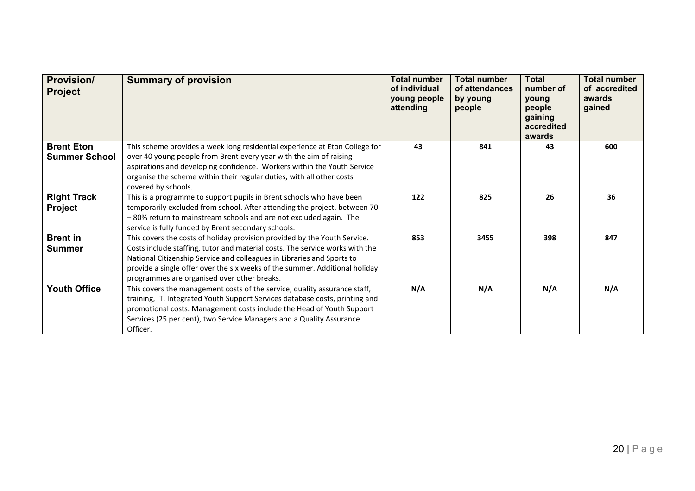| <b>Provision/</b><br><b>Project</b>       | <b>Summary of provision</b>                                                                                                                                                                                                                                                                                                                                       | <b>Total number</b><br>of individual<br>young people<br>attending | <b>Total number</b><br>of attendances<br>by young<br>people | <b>Total</b><br>number of<br>young<br>people<br>gaining<br>accredited<br>awards | <b>Total number</b><br>of accredited<br>awards<br>gained |
|-------------------------------------------|-------------------------------------------------------------------------------------------------------------------------------------------------------------------------------------------------------------------------------------------------------------------------------------------------------------------------------------------------------------------|-------------------------------------------------------------------|-------------------------------------------------------------|---------------------------------------------------------------------------------|----------------------------------------------------------|
| <b>Brent Eton</b><br><b>Summer School</b> | This scheme provides a week long residential experience at Eton College for<br>over 40 young people from Brent every year with the aim of raising<br>aspirations and developing confidence. Workers within the Youth Service<br>organise the scheme within their regular duties, with all other costs<br>covered by schools.                                      | 43                                                                | 841                                                         | 43                                                                              | 600                                                      |
| <b>Right Track</b><br>Project             | This is a programme to support pupils in Brent schools who have been<br>temporarily excluded from school. After attending the project, between 70<br>-80% return to mainstream schools and are not excluded again. The<br>service is fully funded by Brent secondary schools.                                                                                     | 122                                                               | 825                                                         | 26                                                                              | 36                                                       |
| <b>Brent in</b><br><b>Summer</b>          | This covers the costs of holiday provision provided by the Youth Service.<br>Costs include staffing, tutor and material costs. The service works with the<br>National Citizenship Service and colleagues in Libraries and Sports to<br>provide a single offer over the six weeks of the summer. Additional holiday<br>programmes are organised over other breaks. | 853                                                               | 3455                                                        | 398                                                                             | 847                                                      |
| <b>Youth Office</b>                       | This covers the management costs of the service, quality assurance staff,<br>training, IT, Integrated Youth Support Services database costs, printing and<br>promotional costs. Management costs include the Head of Youth Support<br>Services (25 per cent), two Service Managers and a Quality Assurance<br>Officer.                                            | N/A                                                               | N/A                                                         | N/A                                                                             | N/A                                                      |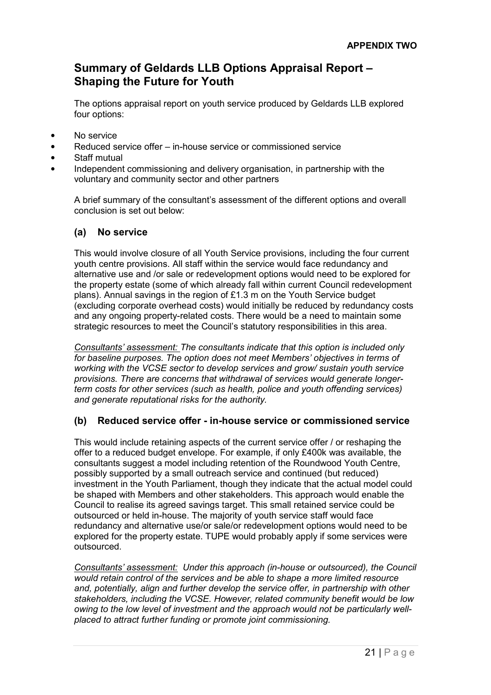# **Summary of Geldards LLB Options Appraisal Report – Shaping the Future for Youth**

The options appraisal report on youth service produced by Geldards LLB explored four options:

- No service
- Reduced service offer in-house service or commissioned service
- Staff mutual
- Independent commissioning and delivery organisation, in partnership with the voluntary and community sector and other partners

A brief summary of the consultant's assessment of the different options and overall conclusion is set out below:

# **(a) No service**

This would involve closure of all Youth Service provisions, including the four current youth centre provisions. All staff within the service would face redundancy and alternative use and /or sale or redevelopment options would need to be explored for the property estate (some of which already fall within current Council redevelopment plans). Annual savings in the region of £1.3 m on the Youth Service budget (excluding corporate overhead costs) would initially be reduced by redundancy costs and any ongoing property-related costs. There would be a need to maintain some strategic resources to meet the Council's statutory responsibilities in this area.

*Consultants' assessment: The consultants indicate that this option is included only for baseline purposes. The option does not meet Members' objectives in terms of working with the VCSE sector to develop services and grow/ sustain youth service provisions. There are concerns that withdrawal of services would generate longerterm costs for other services (such as health, police and youth offending services) and generate reputational risks for the authority.* 

### **(b) Reduced service offer - in-house service or commissioned service**

This would include retaining aspects of the current service offer / or reshaping the offer to a reduced budget envelope. For example, if only £400k was available, the consultants suggest a model including retention of the Roundwood Youth Centre, possibly supported by a small outreach service and continued (but reduced) investment in the Youth Parliament, though they indicate that the actual model could be shaped with Members and other stakeholders. This approach would enable the Council to realise its agreed savings target. This small retained service could be outsourced or held in-house. The majority of youth service staff would face redundancy and alternative use/or sale/or redevelopment options would need to be explored for the property estate. TUPE would probably apply if some services were outsourced.

*Consultants' assessment: Under this approach (in-house or outsourced), the Council would retain control of the services and be able to shape a more limited resource and, potentially, align and further develop the service offer, in partnership with other stakeholders, including the VCSE. However, related community benefit would be low owing to the low level of investment and the approach would not be particularly wellplaced to attract further funding or promote joint commissioning.*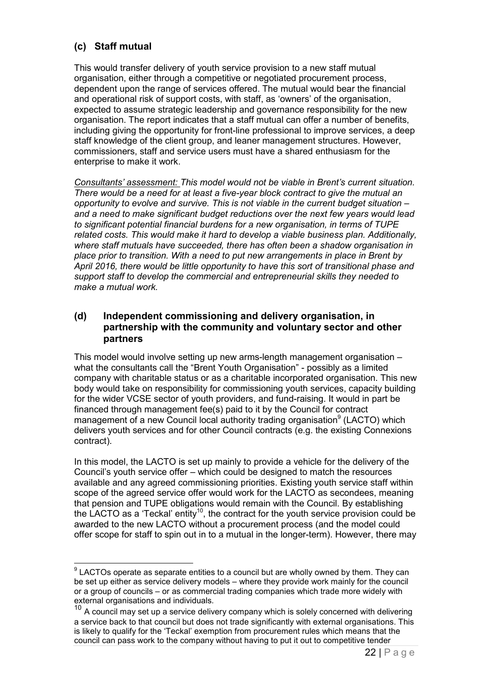# **(c) Staff mutual**

This would transfer delivery of youth service provision to a new staff mutual organisation, either through a competitive or negotiated procurement process, dependent upon the range of services offered. The mutual would bear the financial and operational risk of support costs, with staff, as 'owners' of the organisation, expected to assume strategic leadership and governance responsibility for the new organisation. The report indicates that a staff mutual can offer a number of benefits, including giving the opportunity for front-line professional to improve services, a deep staff knowledge of the client group, and leaner management structures. However, commissioners, staff and service users must have a shared enthusiasm for the enterprise to make it work.

*Consultants' assessment: This model would not be viable in Brent's current situation. There would be a need for at least a five-year block contract to give the mutual an opportunity to evolve and survive. This is not viable in the current budget situation – and a need to make significant budget reductions over the next few years would lead to significant potential financial burdens for a new organisation, in terms of TUPE related costs. This would make it hard to develop a viable business plan. Additionally, where staff mutuals have succeeded, there has often been a shadow organisation in place prior to transition. With a need to put new arrangements in place in Brent by April 2016, there would be little opportunity to have this sort of transitional phase and support staff to develop the commercial and entrepreneurial skills they needed to make a mutual work.* 

### **(d) Independent commissioning and delivery organisation, in partnership with the community and voluntary sector and other partners**

This model would involve setting up new arms-length management organisation – what the consultants call the "Brent Youth Organisation" - possibly as a limited company with charitable status or as a charitable incorporated organisation. This new body would take on responsibility for commissioning youth services, capacity building for the wider VCSE sector of youth providers, and fund-raising. It would in part be financed through management fee(s) paid to it by the Council for contract management of a new Council local authority trading organisation<sup>9</sup> (LACTO) which delivers youth services and for other Council contracts (e.g. the existing Connexions contract).

In this model, the LACTO is set up mainly to provide a vehicle for the delivery of the Council's youth service offer – which could be designed to match the resources available and any agreed commissioning priorities. Existing youth service staff within scope of the agreed service offer would work for the LACTO as secondees, meaning that pension and TUPE obligations would remain with the Council. By establishing the LACTO as a 'Teckal' entity<sup>10</sup>, the contract for the youth service provision could be awarded to the new LACTO without a procurement process (and the model could offer scope for staff to spin out in to a mutual in the longer-term). However, there may

 $\overline{a}$  $9$  LACTOs operate as separate entities to a council but are wholly owned by them. They can be set up either as service delivery models – where they provide work mainly for the council or a group of councils – or as commercial trading companies which trade more widely with external organisations and individuals.

 $10$  A council may set up a service delivery company which is solely concerned with delivering a service back to that council but does not trade significantly with external organisations. This is likely to qualify for the 'Teckal' exemption from procurement rules which means that the council can pass work to the company without having to put it out to competitive tender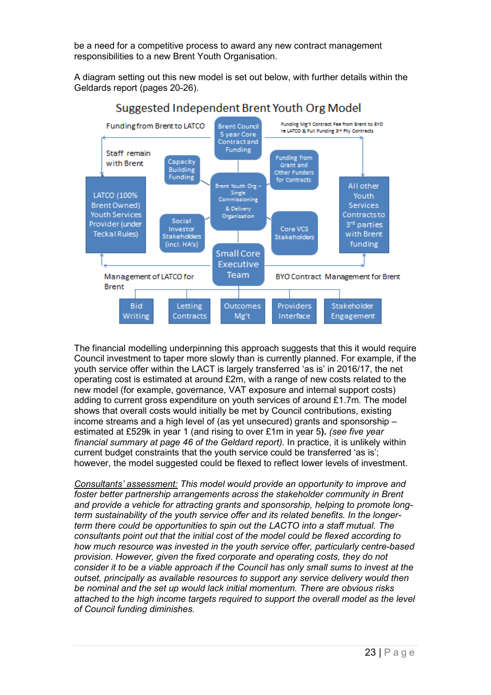be a need for a competitive process to award any new contract management responsibilities to a new Brent Youth Organisation.

A diagram setting out this new model is set out below, with further details within the Geldards report (pages 20-26).



The financial modelling underpinning this approach suggests that this it would require Council investment to taper more slowly than is currently planned. For example, if the youth service offer within the LACT is largely transferred 'as is' in 2016/17, the net operating cost is estimated at around £2m, with a range of new costs related to the new model (for example, governance, VAT exposure and internal support costs) adding to current gross expenditure on youth services of around £1.7m*.* The model shows that overall costs would initially be met by Council contributions, existing income streams and a high level of (as yet unsecured) grants and sponsorship – estimated at £529k in year 1 (and rising to over £1m in year 5**).** *(see five year financial summary at page 46 of the Geldard report).* In practice, it is unlikely within current budget constraints that the youth service could be transferred 'as is'; however, the model suggested could be flexed to reflect lower levels of investment.

*Consultants' assessment: This model would provide an opportunity to improve and foster better partnership arrangements across the stakeholder community in Brent and provide a vehicle for attracting grants and sponsorship, helping to promote longterm sustainability of the youth service offer and its related benefits. In the longerterm there could be opportunities to spin out the LACTO into a staff mutual. The consultants point out that the initial cost of the model could be flexed according to how much resource was invested in the youth service offer, particularly centre-based provision. However, given the fixed corporate and operating costs, they do not consider it to be a viable approach if the Council has only small sums to invest at the outset, principally as available resources to support any service delivery would then be nominal and the set up would lack initial momentum. There are obvious risks attached to the high income targets required to support the overall model as the level of Council funding diminishes.*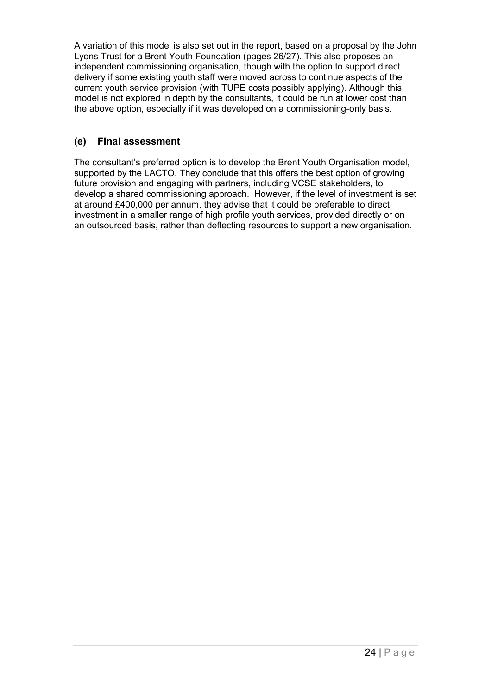A variation of this model is also set out in the report, based on a proposal by the John Lyons Trust for a Brent Youth Foundation (pages 26/27). This also proposes an independent commissioning organisation, though with the option to support direct delivery if some existing youth staff were moved across to continue aspects of the current youth service provision (with TUPE costs possibly applying). Although this model is not explored in depth by the consultants, it could be run at lower cost than the above option, especially if it was developed on a commissioning-only basis.

# **(e) Final assessment**

The consultant's preferred option is to develop the Brent Youth Organisation model, supported by the LACTO. They conclude that this offers the best option of growing future provision and engaging with partners, including VCSE stakeholders, to develop a shared commissioning approach. However, if the level of investment is set at around £400,000 per annum, they advise that it could be preferable to direct investment in a smaller range of high profile youth services, provided directly or on an outsourced basis, rather than deflecting resources to support a new organisation.